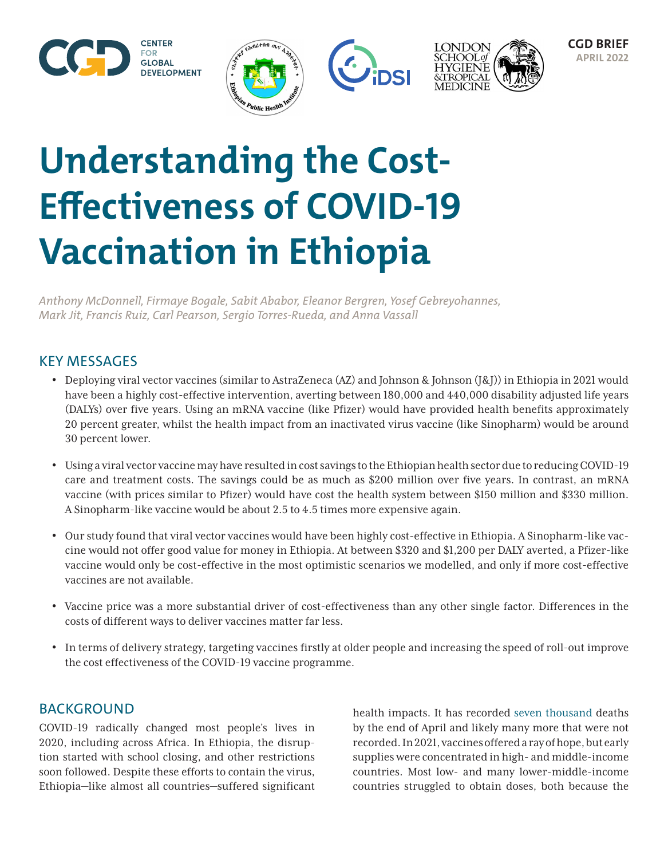







# **Understanding the Cost-Effectiveness of COVID-19 Vaccination in Ethiopia**

*Anthony McDonnell, Firmaye Bogale, Sabit Ababor, Eleanor Bergren, Yosef Gebreyohannes, Mark Jit, Francis Ruiz, Carl Pearson, Sergio Torres-Rueda, and Anna Vassall*

# KEY MESSAGES

- Deploying viral vector vaccines (similar to AstraZeneca (AZ) and Johnson & Johnson (J&J)) in Ethiopia in 2021 would have been a highly cost-effective intervention, averting between 180,000 and 440,000 disability adjusted life years (DALYs) over five years. Using an mRNA vaccine (like Pfizer) would have provided health benefits approximately 20 percent greater, whilst the health impact from an inactivated virus vaccine (like Sinopharm) would be around 30 percent lower.
- Using a viral vector vaccine may have resulted in cost savings to the Ethiopian health sector due to reducing COVID-19 care and treatment costs. The savings could be as much as \$200 million over five years. In contrast, an mRNA vaccine (with prices similar to Pfizer) would have cost the health system between \$150 million and \$330 million. A Sinopharm-like vaccine would be about 2.5 to 4.5 times more expensive again.
- Our study found that viral vector vaccines would have been highly cost-effective in Ethiopia. A Sinopharm-like vaccine would not offer good value for money in Ethiopia. At between \$320 and \$1,200 per DALY averted, a Pfizer-like vaccine would only be cost-effective in the most optimistic scenarios we modelled, and only if more cost-effective vaccines are not available.
- Vaccine price was a more substantial driver of cost-effectiveness than any other single factor. Differences in the costs of different ways to deliver vaccines matter far less.
- In terms of delivery strategy, targeting vaccines firstly at older people and increasing the speed of roll-out improve the cost effectiveness of the COVID-19 vaccine programme.

## BACKGROUND

COVID-19 radically changed most people's lives in 2020, including across Africa. In Ethiopia, the disruption started with school closing, and other restrictions soon followed. Despite these efforts to contain the virus, Ethiopia—like almost all countries—suffered significant

health impacts. It has recorded [seven thousand](https://ourworldindata.org/covid-deaths) deaths by the end of April and likely many more that were not recorded. In 2021, vaccines offered a ray of hope, but early supplies were concentrated in high- and middle-income countries. Most low- and many lower-middle-income countries struggled to obtain doses, both because the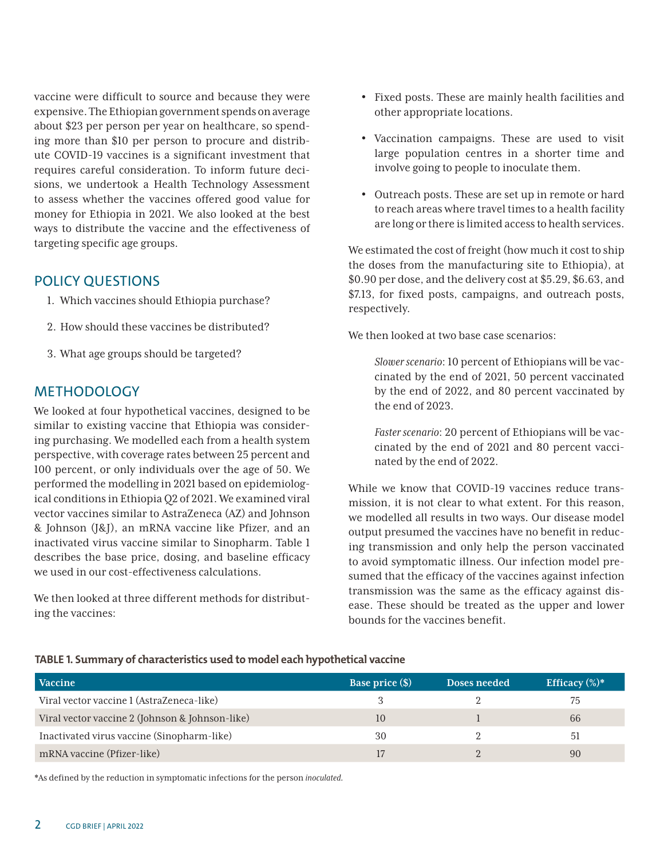vaccine were difficult to source and because they were expensive. The Ethiopian government spends on average about \$23 per person per year on healthcare, so spending more than \$10 per person to procure and distribute COVID-19 vaccines is a significant investment that requires careful consideration. To inform future decisions, we undertook a Health Technology Assessment to assess whether the vaccines offered good value for money for Ethiopia in 2021. We also looked at the best ways to distribute the vaccine and the effectiveness of targeting specific age groups.

## POLICY QUESTIONS

- 1. Which vaccines should Ethiopia purchase?
- 2. How should these vaccines be distributed?
- 3. What age groups should be targeted?

## **METHODOLOGY**

We looked at four hypothetical vaccines, designed to be similar to existing vaccine that Ethiopia was considering purchasing. We modelled each from a health system perspective, with coverage rates between 25 percent and 100 percent, or only individuals over the age of 50. We performed the modelling in 2021 based on epidemiological conditions in Ethiopia Q2 of 2021. We examined viral vector vaccines similar to AstraZeneca (AZ) and Johnson & Johnson (J&J), an mRNA vaccine like Pfizer, and an inactivated virus vaccine similar to Sinopharm. Table 1 describes the base price, dosing, and baseline efficacy we used in our cost-effectiveness calculations.

We then looked at three different methods for distributing the vaccines:

- Fixed posts. These are mainly health facilities and other appropriate locations.
- Vaccination campaigns. These are used to visit large population centres in a shorter time and involve going to people to inoculate them.
- Outreach posts. These are set up in remote or hard to reach areas where travel times to a health facility are long or there is limited access to health services.

We estimated the cost of freight (how much it cost to ship the doses from the manufacturing site to Ethiopia), at \$0.90 per dose, and the delivery cost at \$5.29, \$6.63, and \$7.13, for fixed posts, campaigns, and outreach posts, respectively.

We then looked at two base case scenarios:

*Slower scenario*: 10 percent of Ethiopians will be vaccinated by the end of 2021, 50 percent vaccinated by the end of 2022, and 80 percent vaccinated by the end of 2023.

*Faster scenario*: 20 percent of Ethiopians will be vaccinated by the end of 2021 and 80 percent vaccinated by the end of 2022.

While we know that COVID-19 vaccines reduce transmission, it is not clear to what extent. For this reason, we modelled all results in two ways. Our disease model output presumed the vaccines have no benefit in reducing transmission and only help the person vaccinated to avoid symptomatic illness. Our infection model presumed that the efficacy of the vaccines against infection transmission was the same as the efficacy against disease. These should be treated as the upper and lower bounds for the vaccines benefit.

#### **TABLE 1. Summary of characteristics used to model each hypothetical vaccine**

| <b>Vaccine</b>                                  | <b>Base price</b> (\$) | <b>Doses needed</b> | Efficacy $(\%)^*$ |
|-------------------------------------------------|------------------------|---------------------|-------------------|
| Viral vector vaccine 1 (AstraZeneca-like)       |                        |                     | 75                |
| Viral vector vaccine 2 (Johnson & Johnson-like) | 10                     |                     | 66                |
| Inactivated virus vaccine (Sinopharm-like)      | 30                     |                     | -51               |
| mRNA vaccine (Pfizer-like)                      |                        |                     | 90                |

\*As defined by the reduction in symptomatic infections for the person *inoculated.*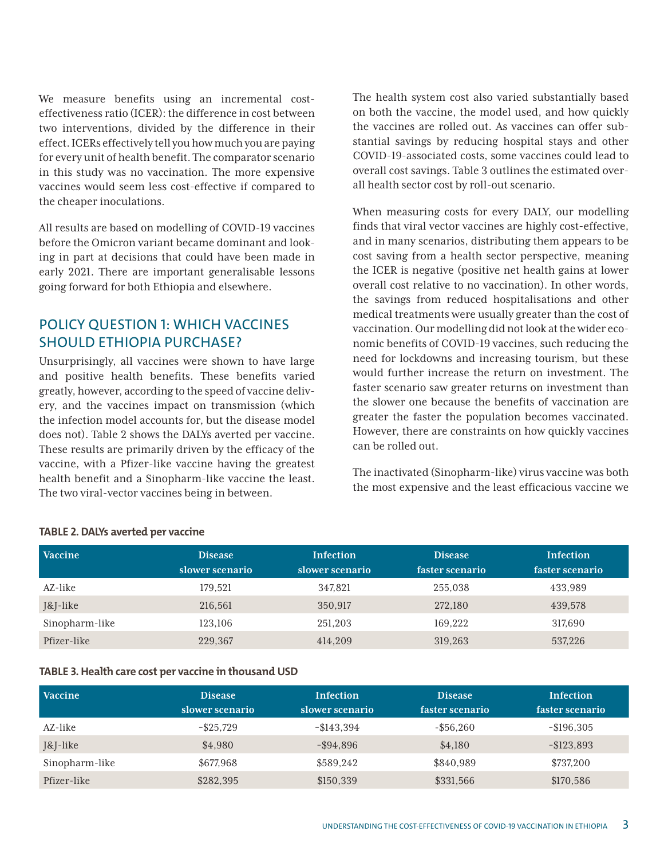We measure benefits using an incremental costeffectiveness ratio (ICER): the difference in cost between two interventions, divided by the difference in their effect. ICERs effectively tell you how much you are paying for every unit of health benefit. The comparator scenario in this study was no vaccination. The more expensive vaccines would seem less cost-effective if compared to the cheaper inoculations.

All results are based on modelling of COVID-19 vaccines before the Omicron variant became dominant and looking in part at decisions that could have been made in early 2021. There are important generalisable lessons going forward for both Ethiopia and elsewhere.

## POLICY QUESTION 1: WHICH VACCINES SHOULD ETHIOPIA PURCHASE?

Unsurprisingly, all vaccines were shown to have large and positive health benefits. These benefits varied greatly, however, according to the speed of vaccine delivery, and the vaccines impact on transmission (which the infection model accounts for, but the disease model does not). Table 2 shows the DALYs averted per vaccine. These results are primarily driven by the efficacy of the vaccine, with a Pfizer-like vaccine having the greatest health benefit and a Sinopharm-like vaccine the least. The two viral-vector vaccines being in between.

The health system cost also varied substantially based on both the vaccine, the model used, and how quickly the vaccines are rolled out. As vaccines can offer substantial savings by reducing hospital stays and other COVID-19-associated costs, some vaccines could lead to overall cost savings. Table 3 outlines the estimated overall health sector cost by roll-out scenario.

When measuring costs for every DALY, our modelling finds that viral vector vaccines are highly cost-effective, and in many scenarios, distributing them appears to be cost saving from a health sector perspective, meaning the ICER is negative (positive net health gains at lower overall cost relative to no vaccination). In other words, the savings from reduced hospitalisations and other medical treatments were usually greater than the cost of vaccination. Our modelling did not look at the wider economic benefits of COVID-19 vaccines, such reducing the need for lockdowns and increasing tourism, but these would further increase the return on investment. The faster scenario saw greater returns on investment than the slower one because the benefits of vaccination are greater the faster the population becomes vaccinated. However, there are constraints on how quickly vaccines can be rolled out.

The inactivated (Sinopharm-like) virus vaccine was both the most expensive and the least efficacious vaccine we

| <b>Vaccine</b> | <b>Disease</b><br>slower scenario | Infection<br>slower scenario | <b>Disease</b><br>faster scenario | Infection<br>faster scenario |
|----------------|-----------------------------------|------------------------------|-----------------------------------|------------------------------|
|                |                                   |                              |                                   |                              |
| AZ-like        | 179.521                           | 347,821                      | 255.038                           | 433,989                      |
| J&J-like       | 216,561                           | 350,917                      | 272,180                           | 439,578                      |
| Sinopharm-like | 123,106                           | 251.203                      | 169,222                           | 317,690                      |
| Pfizer-like    | 229,367                           | 414,209                      | 319,263                           | 537,226                      |

#### **TABLE 2. DALYs averted per vaccine**

#### **TABLE 3. Health care cost per vaccine in thousand USD**

| <b>Vaccine</b> | <b>Disease</b>  | <b>Infection</b> | <b>Disease</b>  | <b>Infection</b> |
|----------------|-----------------|------------------|-----------------|------------------|
|                | slower scenario | slower scenario  | faster scenario | faster scenario  |
| AZ-like        | $-$ \$25.729    | $-$143,394$      | $-$ \$56.260    | $-$ \$196,305    |
| J&J-like       | \$4,980         | $-$ \$94,896     | \$4,180         | $-$123,893$      |
| Sinopharm-like | \$677,968       | \$589,242        | \$840,989       | \$737,200        |
| Pfizer-like    | \$282,395       | \$150,339        | \$331,566       | \$170,586        |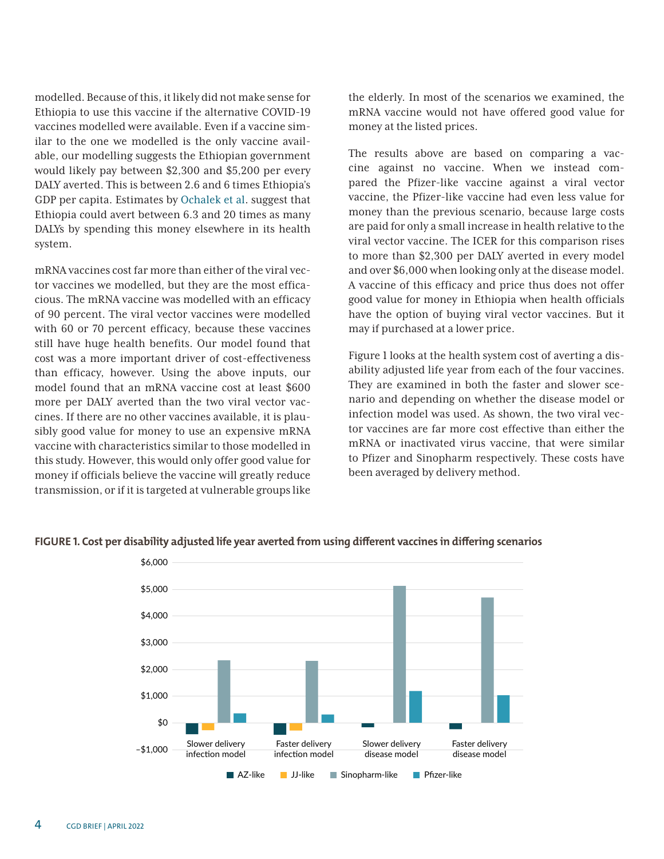modelled. Because of this, it likely did not make sense for Ethiopia to use this vaccine if the alternative COVID-19 vaccines modelled were available. Even if a vaccine similar to the one we modelled is the only vaccine available, our modelling suggests the Ethiopian government would likely pay between \$2,300 and \$5,200 per every DALY averted. This is between 2.6 and 6 times Ethiopia's GDP per capita. Estimates by [Ochalek et al](https://gh.bmj.com/content/3/6/e000964). suggest that Ethiopia could avert between 6.3 and 20 times as many DALYs by spending this money elsewhere in its health system.

mRNA vaccines cost far more than either of the viral vector vaccines we modelled, but they are the most efficacious. The mRNA vaccine was modelled with an efficacy of 90 percent. The viral vector vaccines were modelled with 60 or 70 percent efficacy, because these vaccines still have huge health benefits. Our model found that cost was a more important driver of cost-effectiveness than efficacy, however. Using the above inputs, our model found that an mRNA vaccine cost at least \$600 more per DALY averted than the two viral vector vaccines. If there are no other vaccines available, it is plausibly good value for money to use an expensive mRNA vaccine with characteristics similar to those modelled in this study. However, this would only offer good value for money if officials believe the vaccine will greatly reduce transmission, or if it is targeted at vulnerable groups like

the elderly. In most of the scenarios we examined, the mRNA vaccine would not have offered good value for money at the listed prices.

The results above are based on comparing a vaccine against no vaccine. When we instead compared the Pfizer-like vaccine against a viral vector vaccine, the Pfizer-like vaccine had even less value for money than the previous scenario, because large costs are paid for only a small increase in health relative to the viral vector vaccine. The ICER for this comparison rises to more than \$2,300 per DALY averted in every model and over \$6,000 when looking only at the disease model. A vaccine of this efficacy and price thus does not offer good value for money in Ethiopia when health officials have the option of buying viral vector vaccines. But it may if purchased at a lower price.

Figure 1 looks at the health system cost of averting a disability adjusted life year from each of the four vaccines. They are examined in both the faster and slower scenario and depending on whether the disease model or infection model was used. As shown, the two viral vector vaccines are far more cost effective than either the mRNA or inactivated virus vaccine, that were similar to Pfizer and Sinopharm respectively. These costs have been averaged by delivery method.



#### **FIGURE 1. Cost per disability adjusted life year averted from using different vaccines in differing scenarios**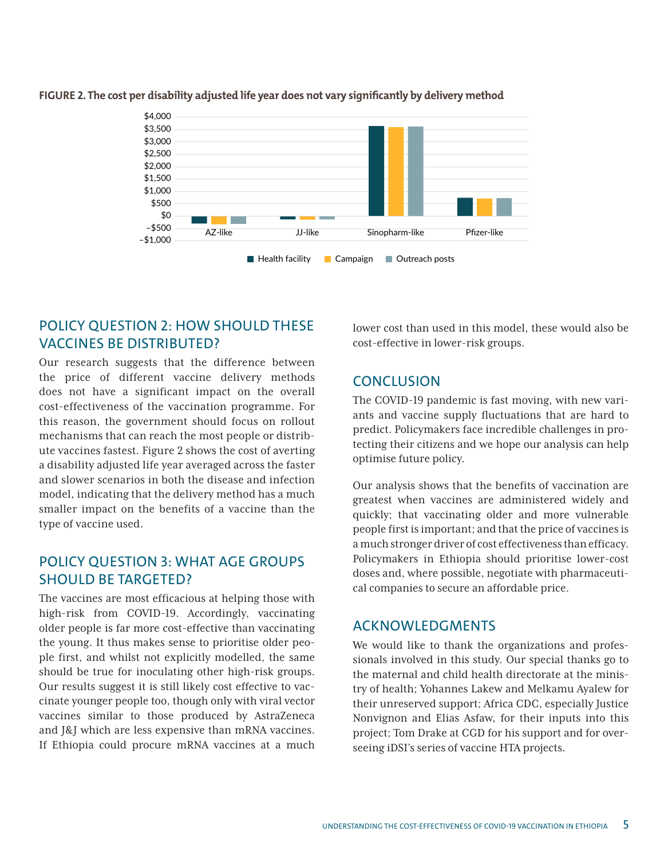

#### **FIGURE 2. The cost per disability adjusted life year does not vary significantly by delivery method**

## POLICY QUESTION 2: HOW SHOULD THESE VACCINES BE DISTRIBUTED?

Our research suggests that the difference between the price of different vaccine delivery methods does not have a significant impact on the overall cost-effectiveness of the vaccination programme. For this reason, the government should focus on rollout mechanisms that can reach the most people or distribute vaccines fastest. Figure 2 shows the cost of averting a disability adjusted life year averaged across the faster and slower scenarios in both the disease and infection model, indicating that the delivery method has a much smaller impact on the benefits of a vaccine than the type of vaccine used.

## POLICY QUESTION 3: WHAT AGE GROUPS SHOULD BE TARGETED?

The vaccines are most efficacious at helping those with high-risk from COVID-19. Accordingly, vaccinating older people is far more cost-effective than vaccinating the young. It thus makes sense to prioritise older people first, and whilst not explicitly modelled, the same should be true for inoculating other high-risk groups. Our results suggest it is still likely cost effective to vaccinate younger people too, though only with viral vector vaccines similar to those produced by AstraZeneca and J&J which are less expensive than mRNA vaccines. If Ethiopia could procure mRNA vaccines at a much

lower cost than used in this model, these would also be cost-effective in lower-risk groups.

## **CONCLUSION**

The COVID-19 pandemic is fast moving, with new variants and vaccine supply fluctuations that are hard to predict. Policymakers face incredible challenges in protecting their citizens and we hope our analysis can help optimise future policy.

Our analysis shows that the benefits of vaccination are greatest when vaccines are administered widely and quickly; that vaccinating older and more vulnerable people first is important; and that the price of vaccines is a much stronger driver of cost effectiveness than efficacy. Policymakers in Ethiopia should prioritise lower-cost doses and, where possible, negotiate with pharmaceutical companies to secure an affordable price.

## ACKNOWLEDGMENTS

We would like to thank the organizations and professionals involved in this study. Our special thanks go to the maternal and child health directorate at the ministry of health; Yohannes Lakew and Melkamu Ayalew for their unreserved support; Africa CDC, especially Justice Nonvignon and Elias Asfaw, for their inputs into this project; Tom Drake at CGD for his support and for overseeing iDSI's series of vaccine HTA projects.